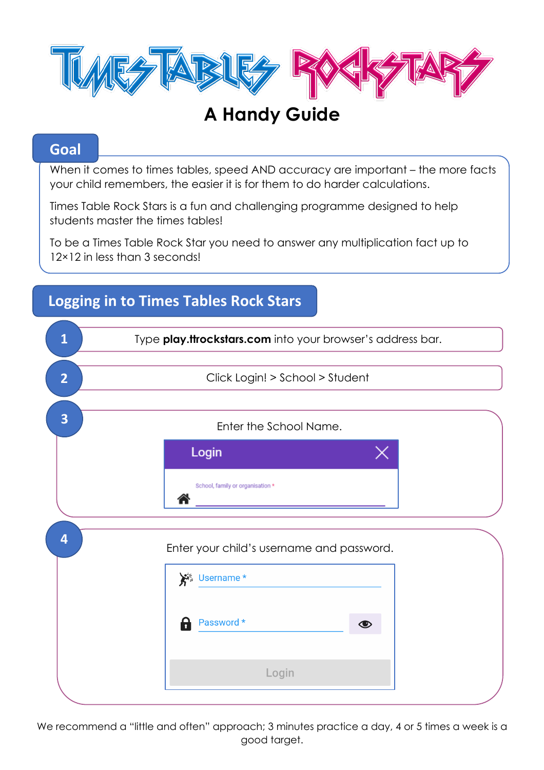

# **A Handy Guide**

### **Goal**

When it comes to times tables, speed AND accuracy are important – the more facts your child remembers, the easier it is for them to do harder calculations.

Times Table Rock Stars is a fun and challenging programme designed to help students master the times tables!

To be a Times Table Rock Star you need to answer any multiplication fact up to 12×12 in less than 3 seconds!

# **1** Type **play.ttrockstars.com** into your browser's address bar. **2**Click Login! > School > Student Enter the School Name. **3** Login School, family or organisation \* 合 **4** Enter your child's username and password. \* Username \* Password \*  $\bigcirc$ Login j

**Logging in to Times Tables Rock Stars**

We recommend a "little and often" approach; 3 minutes practice a day, 4 or 5 times a week is a good target.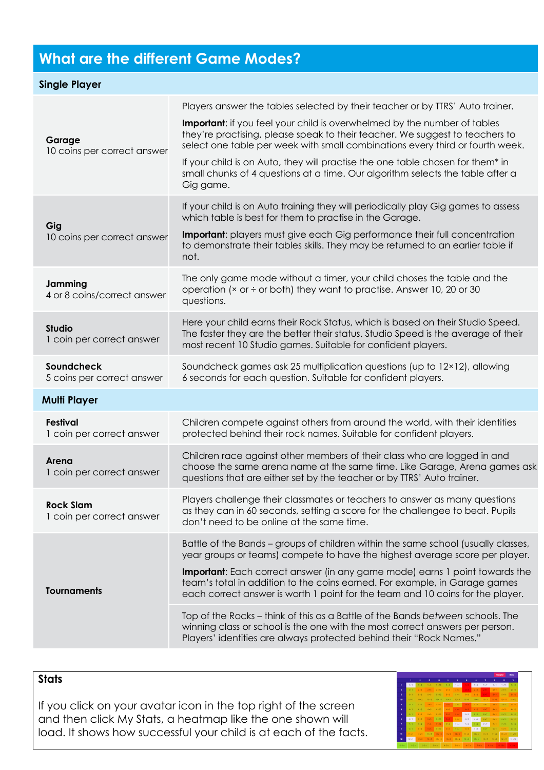## **What are the different Game Modes?**

| <b>Single Player</b>                          |                                                                                                                                                                                                                                                                                                                                                                                                                                                                                                                                                                                                                                                                 |
|-----------------------------------------------|-----------------------------------------------------------------------------------------------------------------------------------------------------------------------------------------------------------------------------------------------------------------------------------------------------------------------------------------------------------------------------------------------------------------------------------------------------------------------------------------------------------------------------------------------------------------------------------------------------------------------------------------------------------------|
| Garage<br>10 coins per correct answer         | Players answer the tables selected by their teacher or by TTRS' Auto trainer.<br><b>Important:</b> if you feel your child is overwhelmed by the number of tables<br>they're practising, please speak to their teacher. We suggest to teachers to<br>select one table per week with small combinations every third or fourth week.<br>If your child is on Auto, they will practise the one table chosen for them* in<br>small chunks of 4 questions at a time. Our algorithm selects the table after a<br>Gig game.                                                                                                                                              |
| Gig<br>10 coins per correct answer            | If your child is on Auto training they will periodically play Gig games to assess<br>which table is best for them to practise in the Garage.<br>Important: players must give each Gig performance their full concentration<br>to demonstrate their tables skills. They may be returned to an earlier table if<br>not.                                                                                                                                                                                                                                                                                                                                           |
| Jamming<br>4 or 8 coins/correct answer        | The only game mode without a timer, your child choses the table and the<br>operation (× or ÷ or both) they want to practise. Answer 10, 20 or 30<br>questions.                                                                                                                                                                                                                                                                                                                                                                                                                                                                                                  |
| <b>Studio</b><br>1 coin per correct answer    | Here your child earns their Rock Status, which is based on their Studio Speed.<br>The faster they are the better their status. Studio Speed is the average of their<br>most recent 10 Studio games. Suitable for confident players.                                                                                                                                                                                                                                                                                                                                                                                                                             |
| Soundcheck<br>5 coins per correct answer      | Soundcheck games ask 25 multiplication questions (up to 12×12), allowing<br>6 seconds for each question. Suitable for confident players.                                                                                                                                                                                                                                                                                                                                                                                                                                                                                                                        |
| <b>Multi Player</b>                           |                                                                                                                                                                                                                                                                                                                                                                                                                                                                                                                                                                                                                                                                 |
| Festival<br>1 coin per correct answer         | Children compete against others from around the world, with their identities<br>protected behind their rock names. Suitable for confident players.                                                                                                                                                                                                                                                                                                                                                                                                                                                                                                              |
| Arena<br>1 coin per correct answer            | Children race against other members of their class who are logged in and<br>choose the same arena name at the same time. Like Garage, Arena games ask<br>questions that are either set by the teacher or by TTRS' Auto trainer.                                                                                                                                                                                                                                                                                                                                                                                                                                 |
| <b>Rock Slam</b><br>1 coin per correct answer | Players challenge their classmates or teachers to answer as many questions<br>as they can in 60 seconds, setting a score for the challengee to beat. Pupils<br>don't need to be online at the same time.                                                                                                                                                                                                                                                                                                                                                                                                                                                        |
| <b>Tournaments</b>                            | Battle of the Bands – groups of children within the same school (usually classes,<br>year groups or teams) compete to have the highest average score per player.<br><b>Important:</b> Each correct answer (in any game mode) earns 1 point towards the<br>team's total in addition to the coins earned. For example, in Garage games<br>each correct answer is worth 1 point for the team and 10 coins for the player.<br>Top of the Rocks – think of this as a Battle of the Bands between schools. The<br>winning class or school is the one with the most correct answers per person.<br>Players' identities are always protected behind their "Rock Names." |

#### **Stats**

If you click on your avatar icon in the top right of the screen and then click My Stats, a heatmap like the one shown will load. It shows how successful your child is at each of the facts.